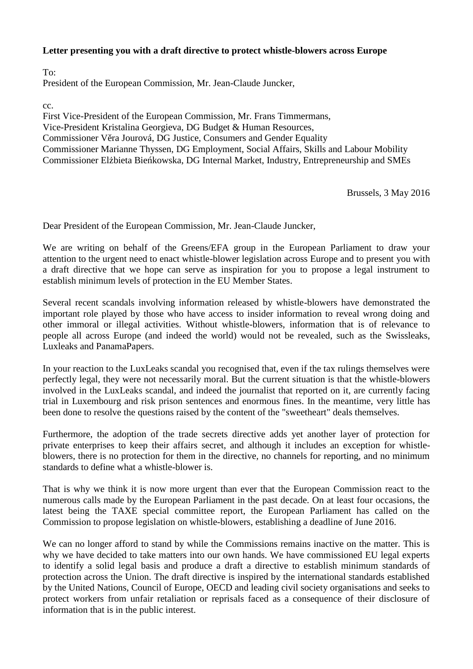## **Letter presenting you with a draft directive to protect whistle-blowers across Europe**

To:

President of the European Commission, Mr. Jean-Claude Juncker,

cc.

First Vice-President of the European Commission, Mr. Frans Timmermans, Vice-President Kristalina Georgieva, DG Budget & Human Resources, Commissioner V ra Jourová, DG Justice, Consumers and Gender Equality Commissioner Marianne Thyssen, DG Employment, Social Affairs, Skills and Labour Mobility Commissioner El bieta Bie kowska, DG Internal Market, Industry, Entrepreneurship and SMEs

Brussels, 3 May 2016

Dear President of the European Commission, Mr. Jean-Claude Juncker,

We are writing on behalf of the Greens/EFA group in the European Parliament to draw your attention to the urgent need to enact whistle-blower legislation across Europe and to present you with a draft directive that we hope can serve as inspiration for you to propose a legal instrument to establish minimum levels of protection in the EU Member States.

Several recent scandals involving information released by whistle-blowers have demonstrated the important role played by those who have access to insider information to reveal wrong doing and other immoral or illegal activities. Without whistle-blowers, information that is of relevance to people all across Europe (and indeed the world) would not be revealed, such as the Swissleaks, Luxleaks and PanamaPapers.

In your reaction to the LuxLeaks scandal you recognised that, even if the tax rulings themselves were perfectly legal, they were not necessarily moral. But the current situation is that the whistle-blowers involved in the LuxLeaks scandal, and indeed the journalist that reported on it, are currently facing trial in Luxembourg and risk prison sentences and enormous fines. In the meantime, very little has been done to resolve the questions raised by the content of the "sweetheart" deals themselves.

Furthermore, the adoption of the trade secrets directive adds yet another layer of protection for private enterprises to keep their affairs secret, and although it includes an exception for whistle blowers, there is no protection for them in the directive, no channels for reporting, and no minimum standards to define what a whistle-blower is.

That is why we think it is now more urgent than ever that the European Commission react to the numerous calls made by the European Parliament in the past decade. On at least four occasions, the latest being the TAXE special committee report, the European Parliament has called on the Commission to propose legislation on whistle-blowers, establishing a deadline of June 2016.

We can no longer afford to stand by while the Commissions remains inactive on the matter. This is why we have decided to take matters into our own hands. We have commissioned EU legal experts to identify a solid legal basis and produce a draft a directive to establish minimum standards of protection across the Union. The draft directive is inspired by the international standards established by the United Nations, Council of Europe, OECD and leading civil society organisations and seeks to protect workers from unfair retaliation or reprisals faced as a consequence of their disclosure of information that is in the public interest.